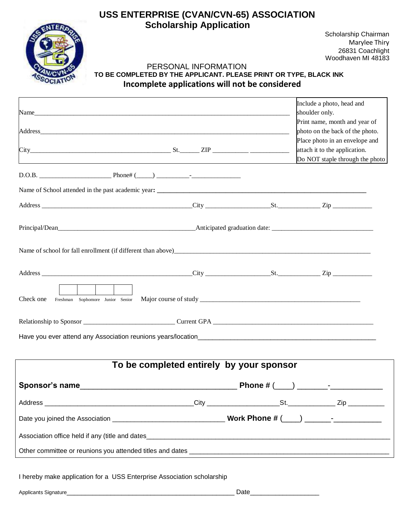## **USS ENTERPRISE (CVAN/CVN-65) ASSOCIATION Scholarship Application**



Scholarship Chairman Marylee Thiry 26831 Coachlight Woodhaven MI 48183

### PERSONAL INFORMATION **TO BE COMPLETED BY THE APPLICANT. PLEASE PRINT OR TYPE, BLACK INK Incomplete applications will not be considered**

| $City$ $City$ $St$ . $ZIP$ $\frac{1}{2}$ $ZIP$ $\frac{1}{2}$ $\frac{1}{2}$ $\frac{1}{2}$ $\frac{1}{2}$ $\frac{1}{2}$ $\frac{1}{2}$ $\frac{1}{2}$ $\frac{1}{2}$ $\frac{1}{2}$ $\frac{1}{2}$ $\frac{1}{2}$ $\frac{1}{2}$ $\frac{1}{2}$ $\frac{1}{2}$ $\frac{1}{2}$ $\frac{1}{2}$ $\frac{1}{2}$ $\frac{1}{2}$ $\frac{1}{2$ |                                          | Include a photo, head and<br>shoulder only.<br>Print name, month and year of<br>photo on the back of the photo.<br>Place photo in an envelope and<br>attach it to the application. |
|-------------------------------------------------------------------------------------------------------------------------------------------------------------------------------------------------------------------------------------------------------------------------------------------------------------------------|------------------------------------------|------------------------------------------------------------------------------------------------------------------------------------------------------------------------------------|
|                                                                                                                                                                                                                                                                                                                         |                                          | Do NOT staple through the photo                                                                                                                                                    |
|                                                                                                                                                                                                                                                                                                                         |                                          |                                                                                                                                                                                    |
|                                                                                                                                                                                                                                                                                                                         |                                          |                                                                                                                                                                                    |
|                                                                                                                                                                                                                                                                                                                         |                                          |                                                                                                                                                                                    |
|                                                                                                                                                                                                                                                                                                                         |                                          |                                                                                                                                                                                    |
| Name of school for fall enrollment (if different than above)                                                                                                                                                                                                                                                            |                                          |                                                                                                                                                                                    |
|                                                                                                                                                                                                                                                                                                                         |                                          |                                                                                                                                                                                    |
| Check one                                                                                                                                                                                                                                                                                                               |                                          |                                                                                                                                                                                    |
|                                                                                                                                                                                                                                                                                                                         |                                          |                                                                                                                                                                                    |
|                                                                                                                                                                                                                                                                                                                         |                                          |                                                                                                                                                                                    |
|                                                                                                                                                                                                                                                                                                                         | To be completed entirely by your sponsor |                                                                                                                                                                                    |
| Sponsor's name                                                                                                                                                                                                                                                                                                          |                                          |                                                                                                                                                                                    |
|                                                                                                                                                                                                                                                                                                                         |                                          |                                                                                                                                                                                    |
|                                                                                                                                                                                                                                                                                                                         |                                          |                                                                                                                                                                                    |
|                                                                                                                                                                                                                                                                                                                         |                                          |                                                                                                                                                                                    |
|                                                                                                                                                                                                                                                                                                                         |                                          |                                                                                                                                                                                    |
|                                                                                                                                                                                                                                                                                                                         |                                          |                                                                                                                                                                                    |
| I hereby make application for a USS Enterprise Association scholarship                                                                                                                                                                                                                                                  |                                          |                                                                                                                                                                                    |
|                                                                                                                                                                                                                                                                                                                         |                                          |                                                                                                                                                                                    |